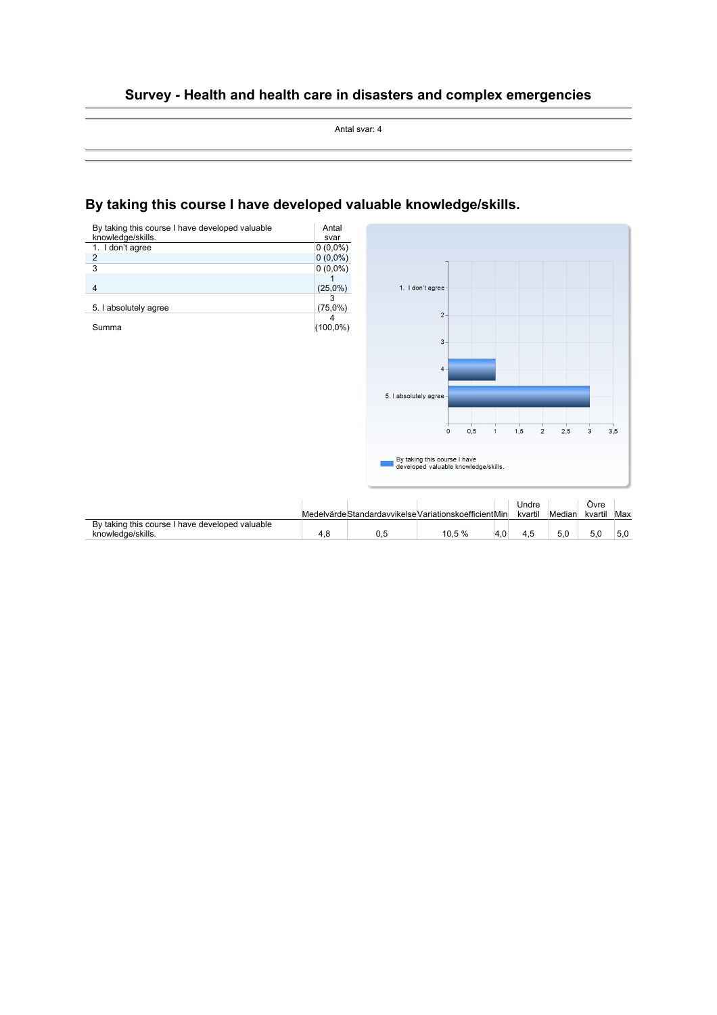### **Survey - Health and health care in disasters and complex emergencies**

Antal svar: 4

# **By taking this course I have developed valuable knowledge/skills.**

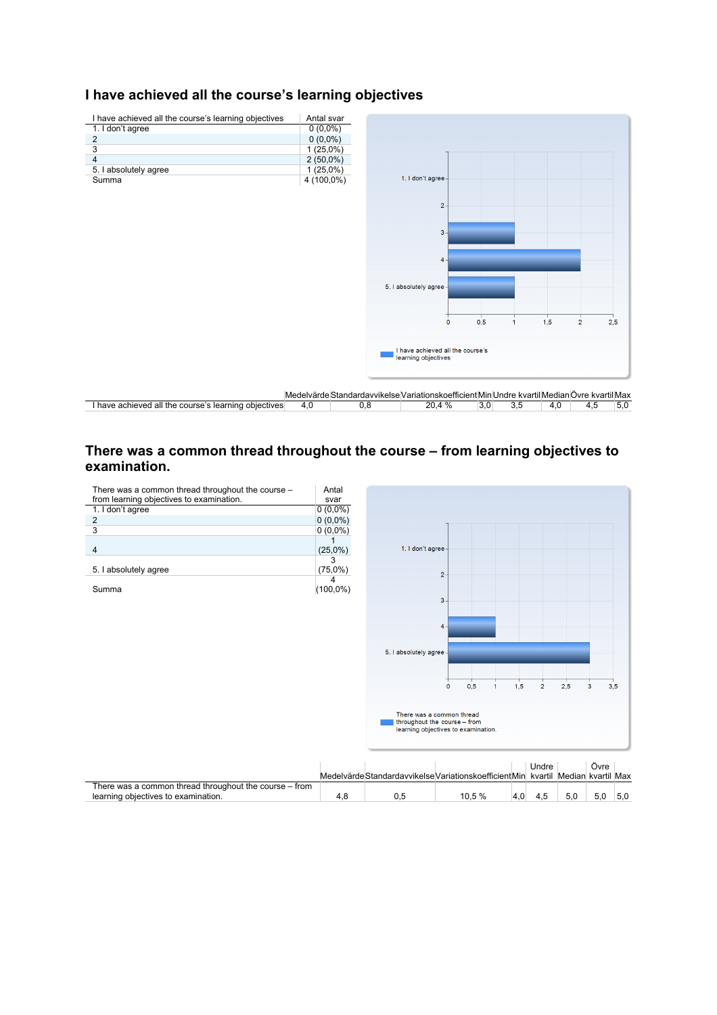# **I have achieved all the course's learning objectives**



# **There was a common thread throughout the course – from learning objectives to examination.**

| There was a common thread throughout the course - | Antal       |
|---------------------------------------------------|-------------|
| from learning objectives to examination.          | svar        |
| 1. I don't agree                                  | $0(0,0\%)$  |
| 2                                                 | $0(0,0\%)$  |
| 3                                                 | $0(0,0\%)$  |
|                                                   |             |
|                                                   | $(25,0\%)$  |
|                                                   |             |
| 5. I absolutely agree                             | $(75,0\%)$  |
|                                                   |             |
| Summa                                             | $(100,0\%)$ |



|                                                        |  |                                                                                   | Undre |     | Ovre |     |
|--------------------------------------------------------|--|-----------------------------------------------------------------------------------|-------|-----|------|-----|
|                                                        |  | Medelvärde Standardavvikelse Variationskoefficient Min kvartil Median kvartil Max |       |     |      |     |
| There was a common thread throughout the course – from |  |                                                                                   |       |     |      |     |
| learning objectives to examination.                    |  | 10.5 %                                                                            | 4.5   | 5.0 | 5.0  | 5.0 |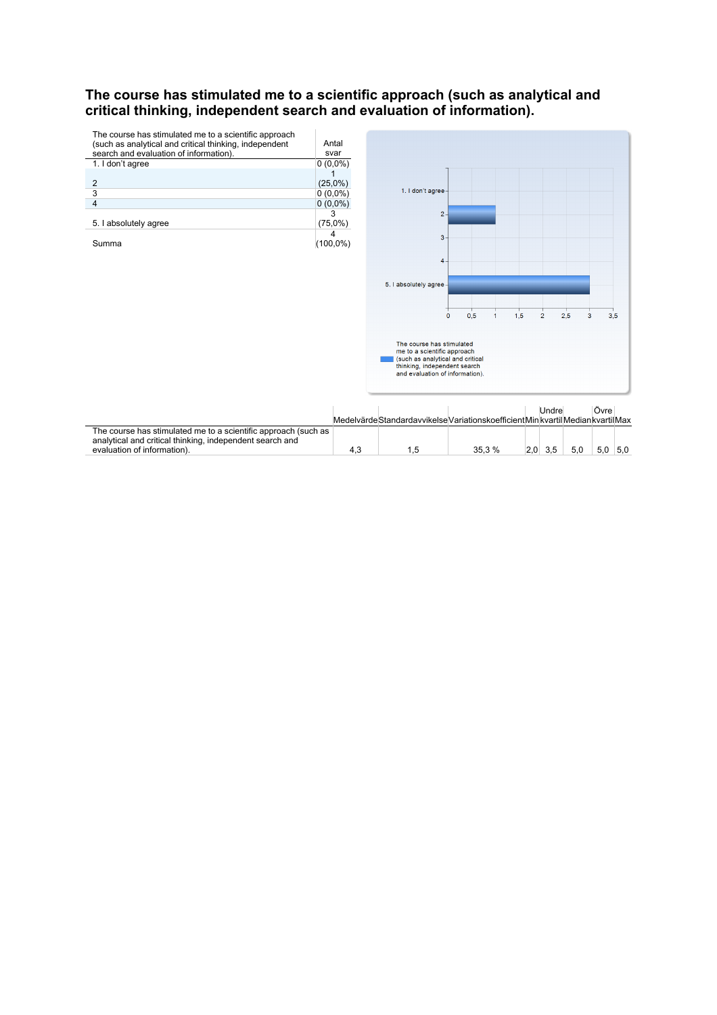### **The course has stimulated me to a scientific approach (such as analytical and critical thinking, independent search and evaluation of information).**

| The course has stimulated me to a scientific approach  |            |
|--------------------------------------------------------|------------|
| (such as analytical and critical thinking, independent | Antal      |
| search and evaluation of information).                 | svar       |
| 1. I don't agree                                       | $0(0,0\%)$ |
|                                                        |            |
| 2                                                      | $(25,0\%)$ |
| 3                                                      | $0(0,0\%)$ |
|                                                        | $0(0,0\%)$ |
|                                                        |            |
| 5. I absolutely agree                                  | (75,0%)    |
|                                                        |            |
| Summa                                                  |            |



|                                                                |  |                                                                                   | Undre |     | Ovre |     |
|----------------------------------------------------------------|--|-----------------------------------------------------------------------------------|-------|-----|------|-----|
|                                                                |  | Medelvärde Standardavvikelse Variationskoefficient Min kvartil Median kvartil Max |       |     |      |     |
| The course has stimulated me to a scientific approach (such as |  |                                                                                   |       |     |      |     |
| analytical and critical thinking, independent search and       |  |                                                                                   |       |     |      |     |
| evaluation of information).                                    |  | 35.3 %                                                                            | 3.5   | 5.0 | 5.0  | 5.0 |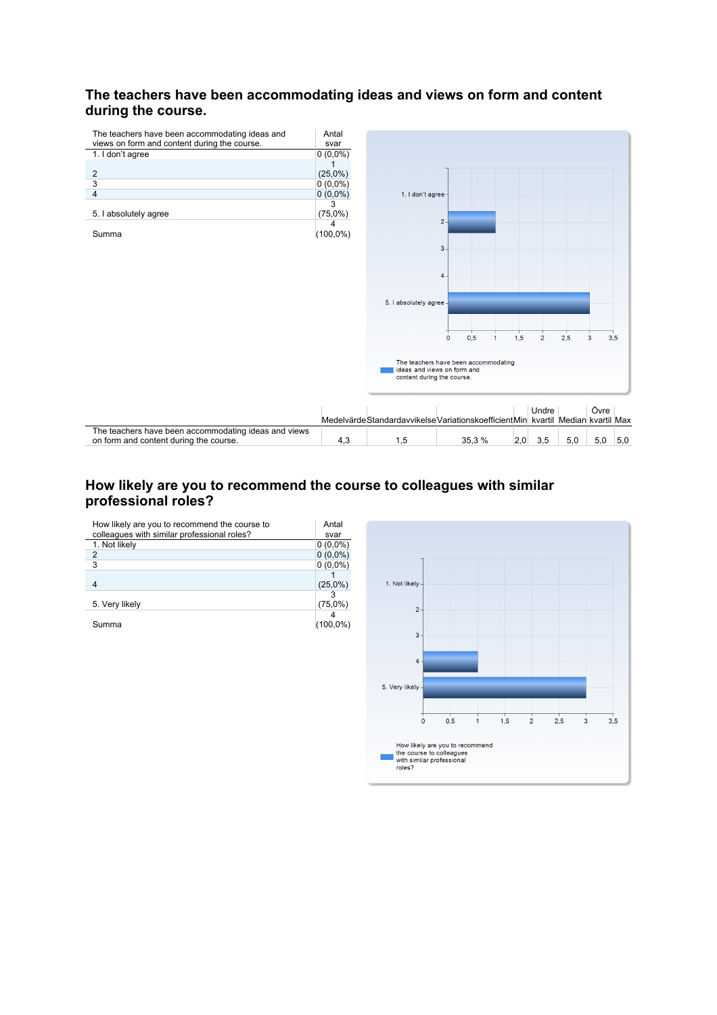# **The teachers have been accommodating ideas and views on form and content**  during the course.



# **How likely are you to recommend the course to colleagues with similar professional roles?**

| How likely are you to recommend the course to | Antal       |
|-----------------------------------------------|-------------|
| colleagues with similar professional roles?   | svar        |
| 1. Not likely                                 | $0(0,0\%)$  |
| 2                                             | $0(0,0\%)$  |
| 3                                             | $0(0.0\%)$  |
|                                               |             |
|                                               | $(25,0\%)$  |
|                                               |             |
| 5. Very likely                                | $(75,0\%)$  |
|                                               |             |
| Summa                                         | $(100,0\%)$ |

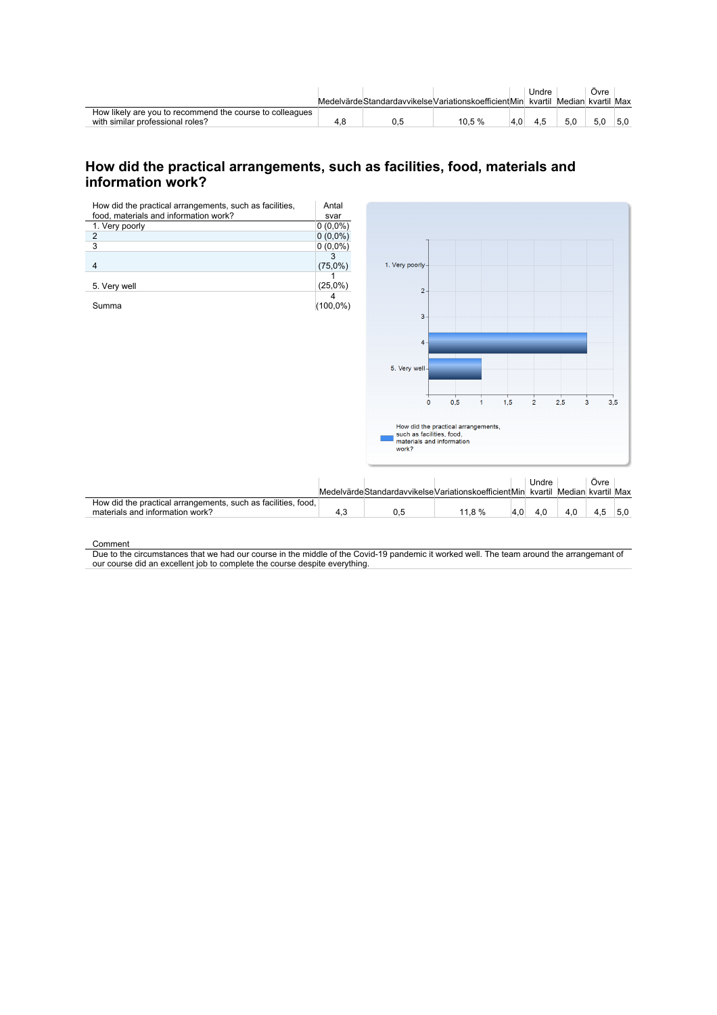|                                                          |     | Medelvärde Standardavvikelse Variationskoefficient Min kvartil Median kvartil Max |     | Jndre |     | Ovre |  |
|----------------------------------------------------------|-----|-----------------------------------------------------------------------------------|-----|-------|-----|------|--|
|                                                          |     |                                                                                   |     |       |     |      |  |
| How likely are you to recommend the course to colleagues |     |                                                                                   |     |       |     |      |  |
| with similar professional roles?                         | 4.8 | 10.5 %                                                                            | 4.0 | 4.5   | 5.0 |      |  |

# **How did the practical arrangements, such as facilities, food, materials and information work?**

| food, materials and information work?<br>svar<br>1. Very poorly<br>$0(0,0\%)$<br>$0(0,0\%)$<br>$\overline{c}$<br>3<br>$0(0,0\%)$<br>3<br>1. Very poorly<br>(75,0%)<br>$\overline{4}$<br>(25,0%)<br>5. Very well<br>$\overline{2}$<br>4<br>$(100,0\%)$<br>Summa<br>3<br>$\overline{4}$<br>5. Very well-<br>0,5<br>1,5<br>$\overline{2}$<br>2,5<br>$\overline{3}$<br>$\mathbf 0$<br>$\mathbf{1}$<br>How did the practical arrangements,<br>such as facilities, food,<br>materials and information<br>work? |            |
|----------------------------------------------------------------------------------------------------------------------------------------------------------------------------------------------------------------------------------------------------------------------------------------------------------------------------------------------------------------------------------------------------------------------------------------------------------------------------------------------------------|------------|
|                                                                                                                                                                                                                                                                                                                                                                                                                                                                                                          |            |
|                                                                                                                                                                                                                                                                                                                                                                                                                                                                                                          |            |
|                                                                                                                                                                                                                                                                                                                                                                                                                                                                                                          |            |
|                                                                                                                                                                                                                                                                                                                                                                                                                                                                                                          |            |
|                                                                                                                                                                                                                                                                                                                                                                                                                                                                                                          |            |
|                                                                                                                                                                                                                                                                                                                                                                                                                                                                                                          |            |
|                                                                                                                                                                                                                                                                                                                                                                                                                                                                                                          |            |
|                                                                                                                                                                                                                                                                                                                                                                                                                                                                                                          |            |
|                                                                                                                                                                                                                                                                                                                                                                                                                                                                                                          |            |
|                                                                                                                                                                                                                                                                                                                                                                                                                                                                                                          |            |
|                                                                                                                                                                                                                                                                                                                                                                                                                                                                                                          |            |
|                                                                                                                                                                                                                                                                                                                                                                                                                                                                                                          |            |
|                                                                                                                                                                                                                                                                                                                                                                                                                                                                                                          |            |
|                                                                                                                                                                                                                                                                                                                                                                                                                                                                                                          |            |
|                                                                                                                                                                                                                                                                                                                                                                                                                                                                                                          |            |
|                                                                                                                                                                                                                                                                                                                                                                                                                                                                                                          |            |
|                                                                                                                                                                                                                                                                                                                                                                                                                                                                                                          |            |
|                                                                                                                                                                                                                                                                                                                                                                                                                                                                                                          |            |
|                                                                                                                                                                                                                                                                                                                                                                                                                                                                                                          | 3,5        |
|                                                                                                                                                                                                                                                                                                                                                                                                                                                                                                          |            |
|                                                                                                                                                                                                                                                                                                                                                                                                                                                                                                          |            |
|                                                                                                                                                                                                                                                                                                                                                                                                                                                                                                          |            |
|                                                                                                                                                                                                                                                                                                                                                                                                                                                                                                          |            |
|                                                                                                                                                                                                                                                                                                                                                                                                                                                                                                          |            |
| Undre                                                                                                                                                                                                                                                                                                                                                                                                                                                                                                    |            |
| Medelvärde Standardavvikelse Variationskoefficient Min kvartil Median kvartil Max                                                                                                                                                                                                                                                                                                                                                                                                                        | Övre       |
| How did the practical arrangements, such as facilities, food,                                                                                                                                                                                                                                                                                                                                                                                                                                            |            |
| materials and information work?<br>4,3<br>0,5<br>11,8 %<br>4,0<br>4,0<br>4,0                                                                                                                                                                                                                                                                                                                                                                                                                             | 4,5<br>5,0 |

Comment

Due to the circumstances that we had our course in the middle of the Covid-19 pandemic it worked well. The team around the arrangemant of our course did an excellent job to complete the course despite everything.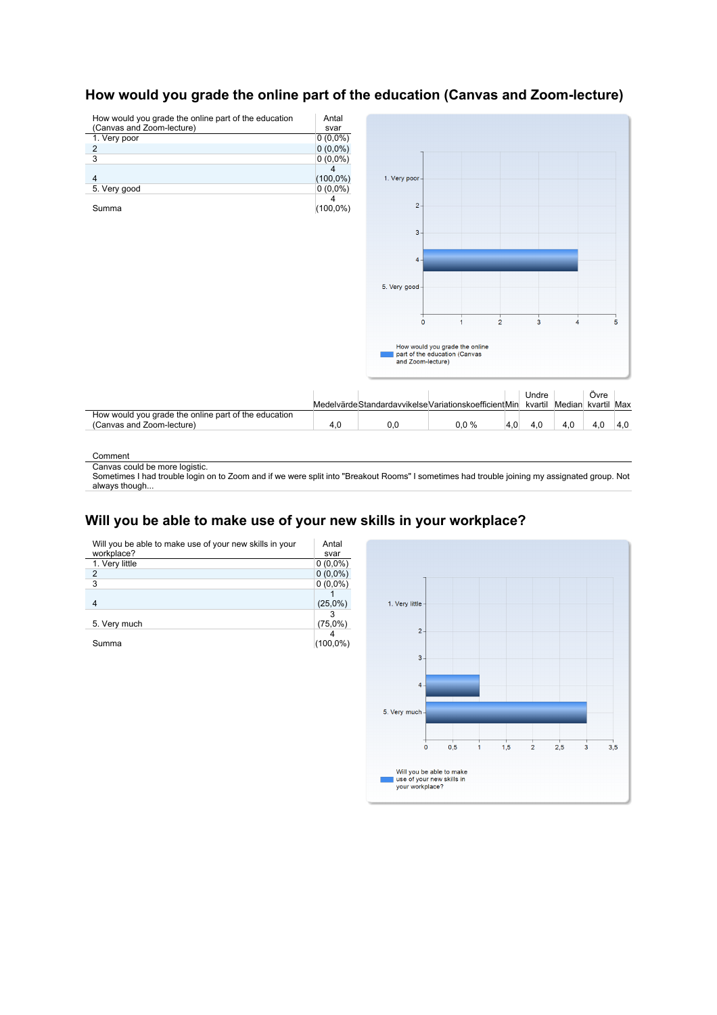

# **How would you grade the online part of the education (Canvas and Zoom-lecture)**

Comment

Canvas could be more logistic.

Sometimes I had trouble login on to Zoom and if we were split into "Breakout Rooms" I sometimes had trouble joining my assignated group. Not always though.

# **Will you be able to make use of your new skills in your workplace?**

| Will you be able to make use of your new skills in your | Antal       |
|---------------------------------------------------------|-------------|
| workplace?                                              | svar        |
| 1. Very little                                          | $0(0.0\%)$  |
| 2                                                       | $0(0,0\%)$  |
| 3                                                       | $0(0,0\%)$  |
|                                                         |             |
| 4                                                       | $(25,0\%)$  |
|                                                         |             |
| 5. Very much                                            | $(75,0\%)$  |
|                                                         |             |
| Summa                                                   | $(100,0\%)$ |
|                                                         |             |

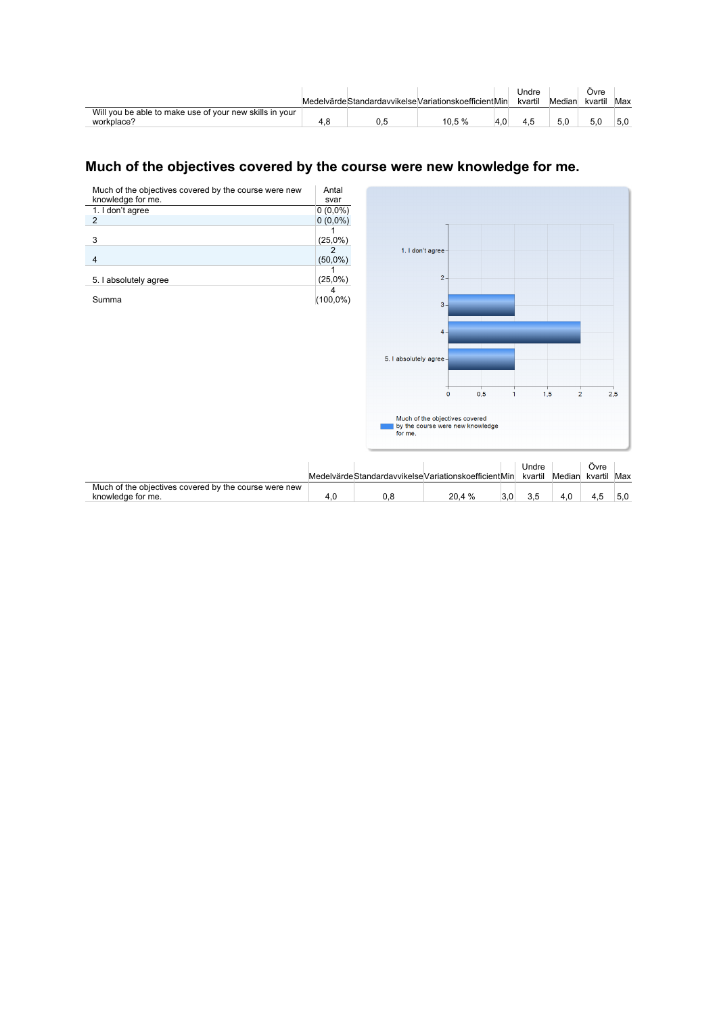|                                                                       |  | Medelvärde Standardavvikelse Variationskoefficient Min |     | Jndre<br>kvartil | Median | Ovre<br>kvartil | Max |
|-----------------------------------------------------------------------|--|--------------------------------------------------------|-----|------------------|--------|-----------------|-----|
| Will you be able to make use of your new skills in your<br>workplace? |  | 10.5%                                                  | 4.0 | 4.5              | 5.0    |                 | 5.0 |

# Much of the objectives covered by the course were new knowledge for me.

| Much of the objectives covered by the course were new<br>knowledge for me. | Antal<br>svar   |                                                       |                                                                    |                |                  |                |                 |     |
|----------------------------------------------------------------------------|-----------------|-------------------------------------------------------|--------------------------------------------------------------------|----------------|------------------|----------------|-----------------|-----|
| 1. I don't agree                                                           | $0(0,0\%)$      |                                                       |                                                                    |                |                  |                |                 |     |
| $\overline{2}$                                                             | $0(0,0\%)$      |                                                       |                                                                    |                |                  |                |                 |     |
| 3                                                                          | (25,0%)         |                                                       |                                                                    |                |                  |                |                 |     |
| 4                                                                          | 2<br>$(50,0\%)$ |                                                       | 1. I don't agree-                                                  |                |                  |                |                 |     |
| 5. I absolutely agree                                                      | (25,0%)<br>4    |                                                       | $\mathbf{2} \cdot$                                                 |                |                  |                |                 |     |
| Summa                                                                      | $(100,0\%)$     |                                                       | $3 -$                                                              |                |                  |                |                 |     |
|                                                                            |                 |                                                       | $4 -$                                                              |                |                  |                |                 |     |
|                                                                            |                 |                                                       |                                                                    |                |                  |                |                 |     |
|                                                                            |                 | 5. I absolutely agree-                                |                                                                    |                |                  |                |                 |     |
|                                                                            |                 |                                                       |                                                                    |                |                  |                |                 |     |
|                                                                            |                 |                                                       | 0,5<br>$\circ$                                                     | $\overline{1}$ | 1,5              | $\overline{2}$ |                 | 2,5 |
|                                                                            |                 | for me.                                               | Much of the objectives covered<br>by the course were new knowledge |                |                  |                |                 |     |
|                                                                            |                 | Medelvärde Standardavvikelse VariationskoefficientMin |                                                                    |                | Undre<br>kvartil | Median         | Övre<br>kvartil | Max |
| Much of the objectives covered by the course were new                      |                 |                                                       |                                                                    |                |                  |                |                 |     |
| knowledge for me.                                                          | 4,0             | 0,8                                                   | 20,4 %                                                             | 3,0            | 3,5              | 4,0            | 4,5             | 5,0 |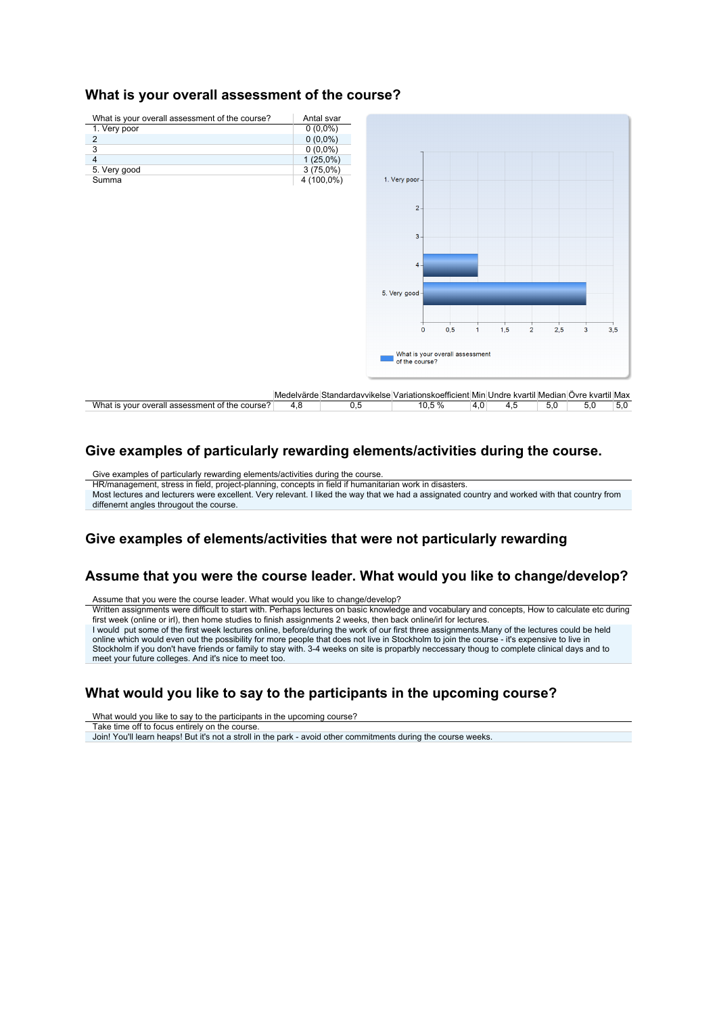### **What is your overall assessment of the course?**



#### Give examples of particularly rewarding elements/activities during the course.

Give examples of particularly rewarding elements/activities during the course. HR/management, stress in field, project-planning, concepts in field if humanitarian work in disasters. Most lectures and lecturers were excellent. Very relevant. I liked the way that we had a assignated country and worked with that country from diffenernt angles througout the course.

### Give examples of elements/activities that were not particularly rewarding

# **Assume that you were the course leader. What would you like to change/develop?**

Assume that you were the course leader. What would you like to change/develop? Written assignments were difficult to start with. Perhaps lectures on basic knowledge and vocabulary and concepts. How to calculate etc during first week (online or irl), then home studies to finish assignments 2 weeks, then back online/irl for lectures. I would put some of the first week lectures online, before/during the work of our first three assignments.Many of the lectures could be held online which would even out the possibility for more people that does not live in Stockholm to join the course - it's expensive to live in Stockholm if you don't have friends or family to stay with. 3-4 weeks on site is proparbly neccessary thoug to complete clinical days and to meet your future colleges. And it's nice to meet too.

# What would you like to say to the participants in the upcoming course?

What would you like to say to the participants in the upcoming course?

Take time off to focus entirely on the course.

Join! You'll learn heaps! But it's not a stroll in the park - avoid other commitments during the course weeks.